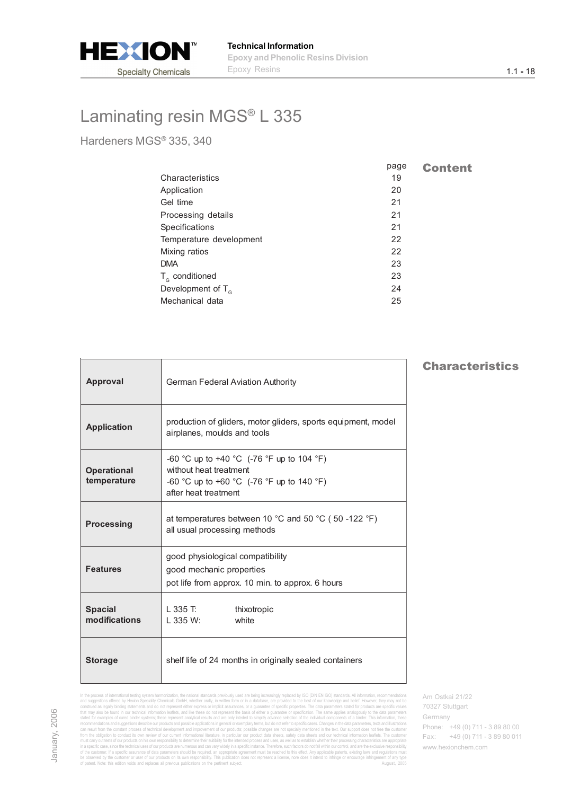

Hardeners MGS® 335, 340

|                         | page | <b>Content</b> |
|-------------------------|------|----------------|
| Characteristics         | 19   |                |
| Application             | 20   |                |
| Gel time                | 21   |                |
| Processing details      | 21   |                |
| Specifications          | 21   |                |
| Temperature development | 22   |                |
| Mixing ratios           | 22   |                |
| <b>DMA</b>              | 23   |                |
| $T_c$ conditioned       | 23   |                |
| Development of $T_c$    | 24   |                |
| Mechanical data         | 25   |                |
|                         |      |                |

| <b>Approval</b>                   | <b>German Federal Aviation Authority</b>                                                                                                 |
|-----------------------------------|------------------------------------------------------------------------------------------------------------------------------------------|
| <b>Application</b>                | production of gliders, motor gliders, sports equipment, model<br>airplanes, moulds and tools                                             |
| <b>Operational</b><br>temperature | -60 °C up to +40 °C (-76 °F up to 104 °F)<br>without heat treatment<br>-60 °C up to +60 °C (-76 °F up to 140 °F)<br>after heat treatment |
| <b>Processing</b>                 | at temperatures between 10 °C and 50 °C (50 -122 °F)<br>all usual processing methods                                                     |
| <b>Features</b>                   | good physiological compatibility<br>good mechanic properties<br>pot life from approx. 10 min. to approx. 6 hours                         |
| <b>Spacial</b><br>modifications   | L 335 T:<br>thixotropic<br>white<br>$L$ 335 W:                                                                                           |
| <b>Storage</b>                    | shelf life of 24 months in originally sealed containers                                                                                  |

### Characteristics

Am Ostkai 21/22 70327 Stuttgart Germany Phone: +49 (0) 711 - 3 89 80 00 Fax: +49 (0) 711 - 3 89 80 011 www.hexionchem.com

In the process of international testing system harmonization, the national standards previously used are being species of the products of the material energy international standards previously international standards provi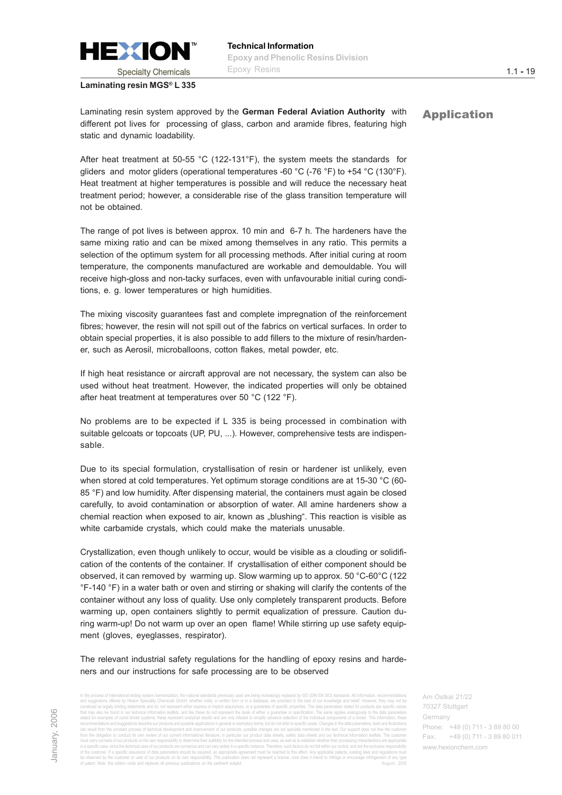<span id="page-1-0"></span>

1.1 **-** 19

Laminating resin system approved by the German Federal Aviation Authority with **Application** different pot lives for processing of glass, carbon and aramide fibres, featuring high static and dynamic loadability.

After heat treatment at 50-55 °C (122-131°F), the system meets the standards for gliders and motor gliders (operational temperatures -60  $^{\circ}$ C (-76  $^{\circ}$ F) to +54  $^{\circ}$ C (130 $^{\circ}$ F). Heat treatment at higher temperatures is possible and will reduce the necessary heat treatment period; however, a considerable rise of the glass transition temperature will not be obtained.

The range of pot lives is between approx. 10 min and 6-7 h. The hardeners have the same mixing ratio and can be mixed among themselves in any ratio. This permits a selection of the optimum system for all processing methods. After initial curing at room temperature, the components manufactured are workable and demouldable. You will receive high-gloss and non-tacky surfaces, even with unfavourable initial curing conditions, e. g. lower temperatures or high humidities.

The mixing viscosity guarantees fast and complete impregnation of the reinforcement fibres; however, the resin will not spill out of the fabrics on vertical surfaces. In order to obtain special properties, it is also possible to add fillers to the mixture of resin/hardener, such as Aerosil, microballoons, cotton flakes, metal powder, etc.

If high heat resistance or aircraft approval are not necessary, the system can also be used without heat treatment. However, the indicated properties will only be obtained after heat treatment at temperatures over 50 °C (122 °F).

No problems are to be expected if L 335 is being processed in combination with suitable gelcoats or topcoats (UP, PU, ...). However, comprehensive tests are indispensable.

Due to its special formulation, crystallisation of resin or hardener ist unlikely, even when stored at cold temperatures. Yet optimum storage conditions are at 15-30 °C (60-85 °F) and low humidity. After dispensing material, the containers must again be closed carefully, to avoid contamination or absorption of water. All amine hardeners show a chemial reaction when exposed to air, known as "blushing". This reaction is visible as white carbamide crystals, which could make the materials unusable.

Crystallization, even though unlikely to occur, would be visible as a clouding or solidification of the contents of the container. If crystallisation of either component should be observed, it can removed by warming up. Slow warming up to approx. 50 °C-60°C (122 °F-140 °F) in a water bath or oven and stirring or shaking will clarify the contents of the container without any loss of quality. Use only completely transparent products. Before warming up, open containers slightly to permit equalization of pressure. Caution during warm-up! Do not warm up over an open flame! While stirring up use safety equipment (gloves, eyeglasses, respirator).

The relevant industrial safety regulations for the handling of epoxy resins and hardeners and our instructions for safe processing are to be observed

In the process of international testing system harmonization, the national standards previously used are being increasingly replaced by ISO (DIN ENISO) standards. All information creditional standards and point of the proc the obligation to conduct its own review of our current informational literature, in particular our product data sheets, safety data sheets and our technical information leaflets. The must cany out tests of our products on his own responsibility to determine their suidibility for the intended process and uses, as well as to establish whether their processing characteristics are appropriate<br>in a specific of the customer. If a specific assurance of data parameters should be nequired, an appropriate parameters in st<br>be observed by the customer or user of current parameters are not present a license, none does it intend to in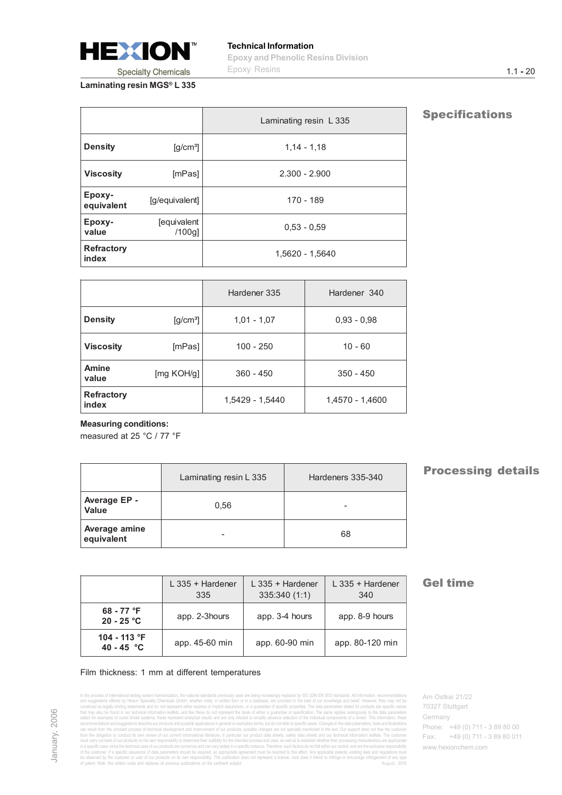<span id="page-2-0"></span>

|                            |                                             | Laminating resin L 335 |
|----------------------------|---------------------------------------------|------------------------|
| <b>Density</b>             | $\left[\frac{\text{g}}{\text{cm}^3}\right]$ | $1,14 - 1,18$          |
| <b>Viscosity</b>           | [mPas]                                      | $2.300 - 2.900$        |
| Epoxy-<br>equivalent       | [g/equivalent]                              | 170 - 189              |
| Epoxy-<br>value            | <b>[equivalent</b><br>$/100g$ ]             | $0.53 - 0.59$          |
| <b>Refractory</b><br>index |                                             | 1.5620 - 1.5640        |

|                            |                                             | Hardener 335    | Hardener 340    |
|----------------------------|---------------------------------------------|-----------------|-----------------|
| <b>Density</b>             | $\left[\frac{\text{g}}{\text{cm}^3}\right]$ | $1,01 - 1,07$   | $0.93 - 0.98$   |
| <b>Viscosity</b>           | [mPas]                                      | $100 - 250$     | $10 - 60$       |
| <b>Amine</b><br>value      | [mg KOH/g]                                  | $360 - 450$     | $350 - 450$     |
| <b>Refractory</b><br>index |                                             | 1,5429 - 1,5440 | 1,4570 - 1,4600 |

#### **Measuring conditions:**

measured at 25 °C / 77 °F

|                              | Laminating resin L 335 | Hardeners 335-340 |
|------------------------------|------------------------|-------------------|
| Average EP -<br><b>Value</b> | 0.56                   | -                 |
| Average amine<br>equivalent  |                        | 68                |

### **Processing details**

|                                         | L 335 + Hardener<br>335 | $L$ 335 + Hardener<br>335:340 (1:1) | $L$ 335 + Hardener<br>340 |
|-----------------------------------------|-------------------------|-------------------------------------|---------------------------|
| 68 - 77 $\textdegree F$<br>$20 - 25 °C$ | app. 2-3hours           | app. 3-4 hours                      | app. 8-9 hours            |
| 104 - 113 °F<br>40 - 45 $^{\circ}$ C    | app. 45-60 min          | app. 60-90 min                      | app. 80-120 min           |

#### Film thickness: 1 mm at different temperatures

In the process of international testing system harmonization, the national standards previously used are being species of the products of the material energy international standards previously international standards provi

### **Gel time**

Am Ostkai 21/22 70327 Stuttgart Germany Phone: +49 (0) 711 - 3 89 80 00 Fax: +49 (0) 711 - 3 89 80 011 www.hexionchem.com

**Specifications**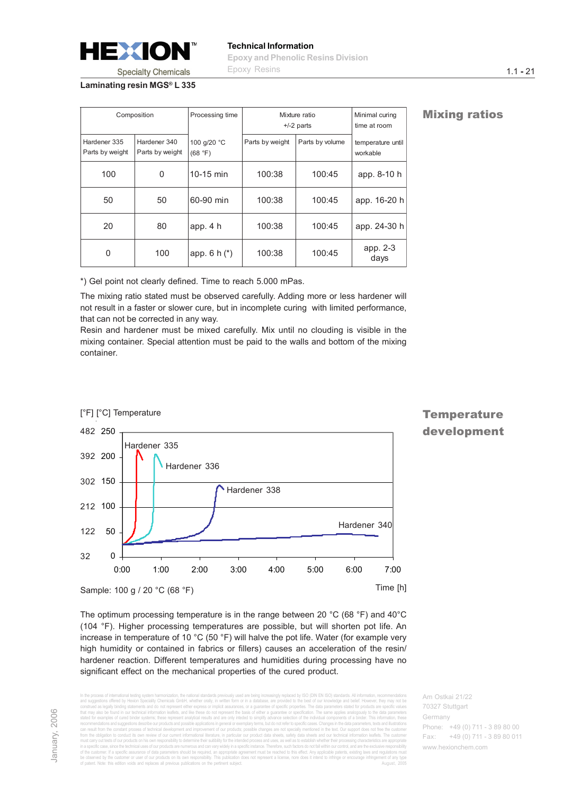<span id="page-3-0"></span>

|                                 | Composition                     | Processing time        | Mixture ratio<br>$+/-2$ parts |                 | Minimal curing<br>time at room |
|---------------------------------|---------------------------------|------------------------|-------------------------------|-----------------|--------------------------------|
| Hardener 335<br>Parts by weight | Hardener 340<br>Parts by weight | 100 g/20 °C<br>(68 °F) | Parts by weight               | Parts by volume | temperature until<br>workable  |
| 100                             | 0                               | 10-15 min              | 100:38                        | 100:45          | app. 8-10 h                    |
| 50                              | 50                              | 60-90 min              | 100:38                        | 100:45          | app. 16-20 h                   |
| 20                              | 80                              | app. 4h                | 100:38                        | 100:45          | app. 24-30 h                   |
| 0                               | 100                             | app. $6 h (*)$         | 100:38                        | 100:45          | app. 2-3<br>days               |

**Mixing ratios** 

\*) Gel point not clearly defined. Time to reach 5.000 mPas.

The mixing ratio stated must be observed carefully. Adding more or less hardener will not result in a faster or slower cure, but in incomplete curing with limited performance, that can not be corrected in any way.

Resin and hardener must be mixed carefully. Mix until no clouding is visible in the mixing container. Special attention must be paid to the walls and bottom of the mixing container.



The optimum processing temperature is in the range between 20 °C (68 °F) and 40°C (104 °F). Higher processing temperatures are possible, but will shorten pot life. An increase in temperature of 10 °C (50 °F) will halve the pot life. Water (for example very high humidity or contained in fabrics or fillers) causes an acceleration of the resin/ hardener reaction. Different temperatures and humidities during processing have no significant effect on the mechanical properties of the cured product.

In the process of international testing system harmonization, the national standards previously used are being increasingly replaced by ISO (DIN EN ISO) standards. All information, recommendations and suggestions offered by Hexion Speciality Chemicals GmbH, whether orally, in written form or in a database, are provided to the best of our knowledge and belief. However, they may not be construed as legally binding statements and do not represent either express or implicit assurances, or a guarantee of specific properties. The data parameters stated for products are specific values that may also be found in our technical information leaflets, and like these do not represent the basis of either a guarantee or specification. The same applies analogously to the data parameters stated for examples of cured binder systems; these represent analytical results and are only inteded to simplify advance selection of the individual components of a binder. This information, these recommendations and suggestions describe our products and possible applications in general or exemplary terms, but do not refer to specific cases. Changes in the data parameters, texts and illustrations ess of technical development and improvement of our products; possible changes are not specially mentioned in the text. Our support does particular our product data sheets, safety data sheets and our technical must carry out tests of our products on his own responsibility to determine their suitibility for the intended process and uses, as well as to establish whether their processing characteristics are appropriate in a spedic case, since the technical uses of our products are numerous and can vany widely in a specific instance. Therefore, such factors do not fall within our control, and are the exclusive responsibility<br>of the custom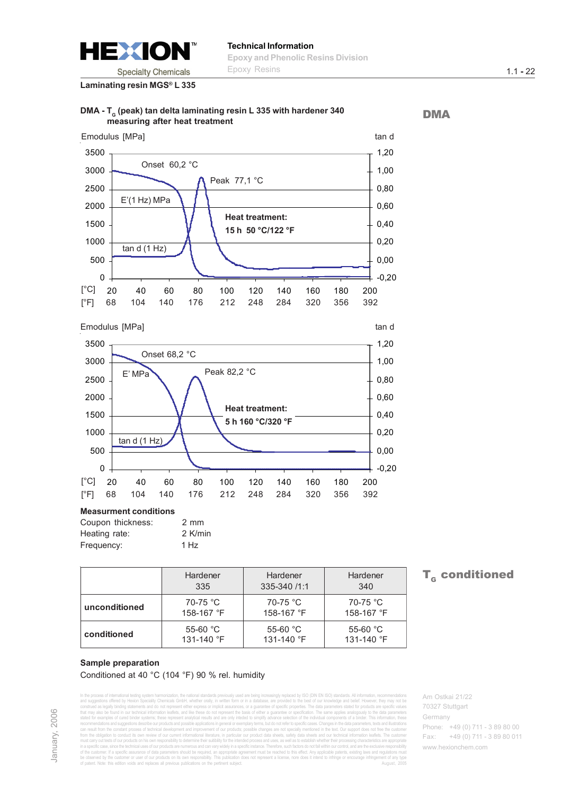<span id="page-4-0"></span>

### **Technical Information Epoxy and Phenolic Resins Division** Epoxy Resins

**Laminating resin MGS® L 335**





#### **Measurment conditions**

| Coupon thickness: | 2 mm    |
|-------------------|---------|
| Heating rate:     | 2 K/min |
| Frequency:        | 1 Hz    |

|                                         | Hardener<br>Hardener<br>335-340 /1:1<br>335 |                          | Hardener<br>340          |  |
|-----------------------------------------|---------------------------------------------|--------------------------|--------------------------|--|
| 70-75 °C<br>unconditioned<br>158-167 °F |                                             | 70-75 °C<br>158-167 °F   | 70-75 °C<br>158-167 °F   |  |
| conditioned                             | 55-60 $°C$<br>131-140 °F                    | 55-60 $°C$<br>131-140 °F | 55-60 $°C$<br>131-140 °F |  |

### $T_c$  conditioned

#### **Sample preparation** Conditioned at 40 °C (104 °F) 90 % rel. humidity

In the process of international testing system harmonization, the national standards previously used are being increasingly replaced by ISO (DIN EN ISO) standards. All information, recommendations and suggestions offered by Hexion Speciality Chemicals GmbH, whether orally, in written form or in a database, are provided to the best of our knowledge and belief. However, they may not be construed as legally binding statements and do not represent either express or implicit assurances, or a guarantee of specific properties. The data parameters stated for products are specific values that may also be found in our technical information leaflets, and like these do not represent the basis of either a guarantee or specification. The same applies analogously to the data parameters stated for examples of cured binder systems; these represent analytical results and are only inteded to simplify advance selection of the individual components of a binder. This information, these recommendations and suggestions describe our products and possible applications in general or exemplary terms, but do not refer to specific cases. Changes in the data parameters, texts and illustrations can result from the constant process of technical development and improvement of our products; possible changes are not specially mentioned in the text. Our support does not free the customer from the obligation to conduct its own review of our current informational literature, in particular our product data sheets, safety data sheets and our technical information leaflets. The customer must carry out tests of our products on his own responsibility to determine their suitibility for the intended process and uses, as well as to establish whether their processing characteristics are appropriate in a spedic case, since the technical uses of our products are numerous and can vany widely in a specific instance. Therefore, such factors do not fall within our control, and are the exclusive responsibility<br>of the custom Am Ostkai 21/22 70327 Stuttgart Germany Phone: +49 (0) 711 - 3 89 80 00 Fax: +49 (0) 711 - 3 89 80 011 www.hexionchem.com

**DMA** 

January, 2006 January, 2006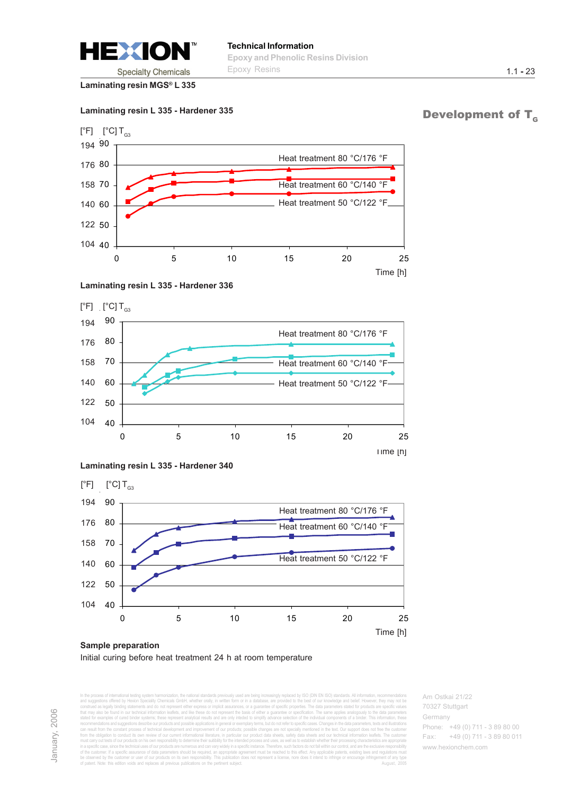<span id="page-5-0"></span>

#### **Laminating resin L 335 - Hardener 335**

### Development of  $T_c$

1.1 **-** 23



#### **Laminating resin L 335 - Hardener 336**







### **Sample preparation** Initial curing before heat treatment 24 h at room temperature

In the process of international testing system harmonization, the national standards previously used are being increasingly replaced by ISO (DIN EN ISO) standards. All information, recommendations and suggestions offered by Hexion Speciality Chemicals GmbH, whether orally, in written form or in a database, are provided to the best of our knowledge and belief. However, they may not be construed as legally binding statements and do not represent either express or implicit assurances, or a guarantee of specific properties. The data parameters stated for products are specific values that may also be found in our technical information leaflets, and like these do not represent the basis of either a guarantee or specification. The same applies analogously to the data parameters stated for examples of cured binder systems; these represent analytical results and are only inteded to simplify advance selection of the individual components of a binder. This information, these recommendations and suggestions describe our products and possible applications in general or exemplary terms, but do not refer to specific cases. Changes in the data parameters, texts and illustrations can result from the constant process of technical development and improvement of our products; possible changes are not specially mentioned in the text. Our support does not free the customer from the obligation to conduct its own review of our current informational literature, in particular our product data sheets, safety data sheets and our technical information leaflets. The customer must carry out tests of our products on his own responsibility to determine their suitibility for the intended process and uses, as well as to establish whether their processing characteristics are appropriate in a specific case, since the technical uses of our products are numerous and can vary widely in a specific instance. Therefore, such factors do not fall within our control, and are the exclusive responsibility of the customer. If a specific assurance of data parameters should be required, an appropriate agreement must be reached to this effect. Any applicable patents, existing laws and regulations must be observed by the customer or user of our products on its own responsibility. This publication does not represent a license, nore does it intend to infringe or encourage infringement of any type of patent. Note: this edition voids and replaces all previous publications on the pertinent subject. August, 2005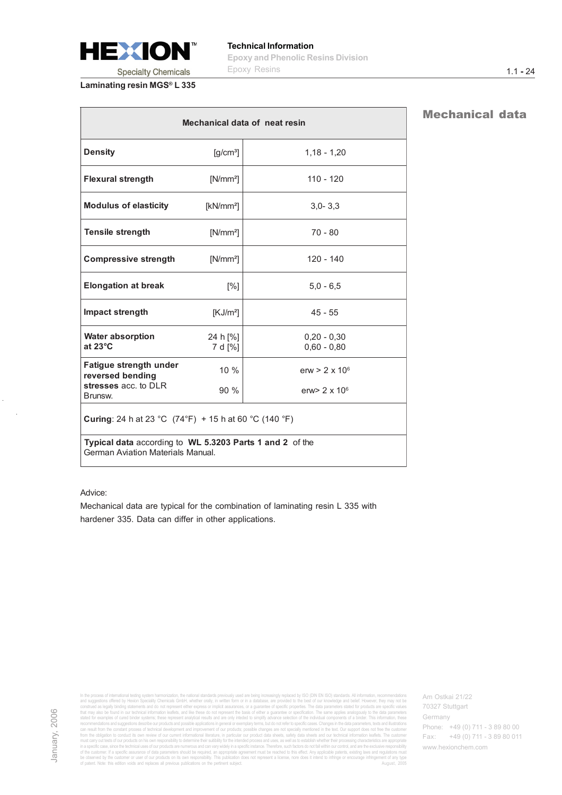<span id="page-6-0"></span>

| Mechanical data of neat resin                                                                |                                             |                                |  |  |
|----------------------------------------------------------------------------------------------|---------------------------------------------|--------------------------------|--|--|
| <b>Density</b>                                                                               | $\left[\frac{\text{g}}{\text{cm}^3}\right]$ | $1,18 - 1,20$                  |  |  |
| <b>Flexural strength</b>                                                                     | $[N/mm^2]$                                  | $110 - 120$                    |  |  |
| <b>Modulus of elasticity</b>                                                                 | $[kN/mm^2]$                                 | $3.0 - 3.3$                    |  |  |
| <b>Tensile strength</b>                                                                      | $[N/mm^2]$                                  | $70 - 80$                      |  |  |
| <b>Compressive strength</b>                                                                  | $[N/mm^2]$                                  | $120 - 140$                    |  |  |
| <b>Elongation at break</b>                                                                   | $\lceil\% \rceil$                           | $5.0 - 6.5$                    |  |  |
| Impact strength                                                                              | [KJ/m <sup>2</sup> ]                        | $45 - 55$                      |  |  |
| <b>Water absorption</b><br>at $23^{\circ}$ C                                                 | 24 h [%]<br>7 d [%]                         | $0.20 - 0.30$<br>$0,60 - 0,80$ |  |  |
| Fatigue strength under<br>reversed bending                                                   | $10\%$                                      | erw $> 2 \times 10^6$          |  |  |
| stresses acc. to DLR<br>Brunsw.                                                              | 90%                                         | erw> 2 x 10 <sup>6</sup>       |  |  |
| <b>Curing</b> : 24 h at 23 °C $(74^{\circ}F)$ + 15 h at 60 °C $(140^{\circ}F)$               |                                             |                                |  |  |
| Typical data according to WL 5.3203 Parts 1 and 2 of the<br>German Aviation Materials Manual |                                             |                                |  |  |

#### Advice:

Mechanical data are typical for the combination of laminating resin L 335 with hardener 335. Data can differ in other applications.

In the process of international testing system harmonization, the national standards previously used are being species of the products of the material energy international standards previously international standards provi

Am Ostkai 21/22 70327 Stuttgart Germany Phone: +49 (0) 711 - 3 89 80 00 Fax: +49 (0) 711 - 3 89 80 011 www.hexionchem.com

## Mechanical data